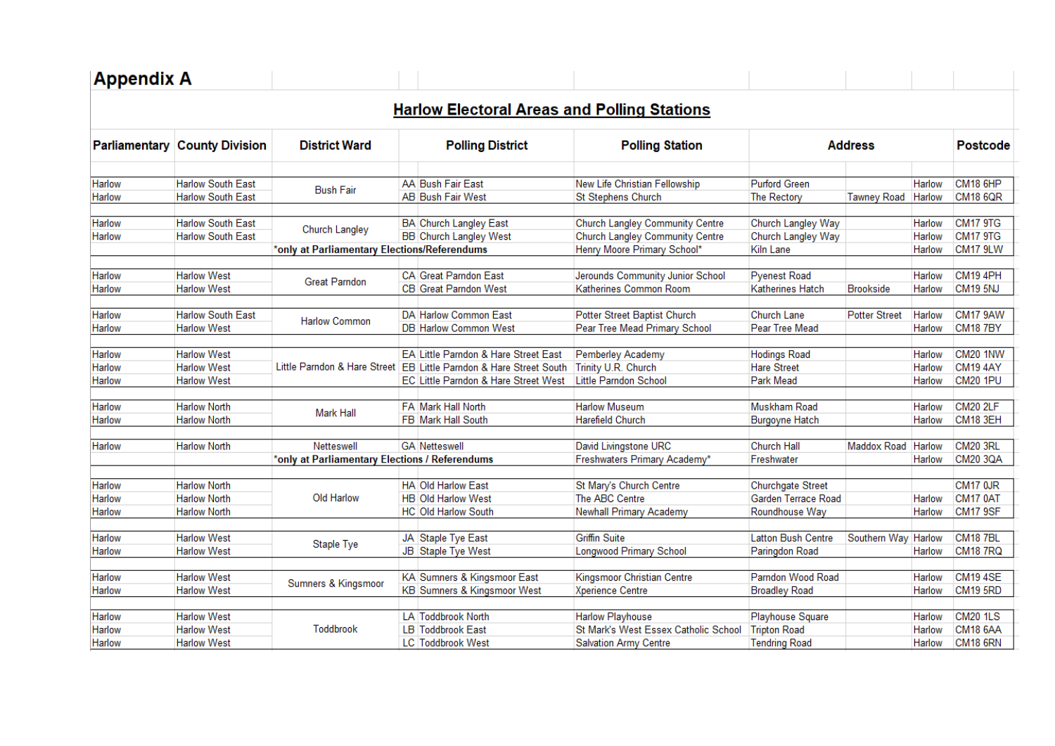| <b>Harlow Electoral Areas and Polling Stations</b><br><b>Polling Station</b><br><b>Address</b><br>New Life Christian Fellowship<br><b>Purford Green</b> |                                                                                   |                                                                            |
|---------------------------------------------------------------------------------------------------------------------------------------------------------|-----------------------------------------------------------------------------------|----------------------------------------------------------------------------|
|                                                                                                                                                         |                                                                                   |                                                                            |
|                                                                                                                                                         |                                                                                   | <b>Postcode</b>                                                            |
| <b>The Rectory</b>                                                                                                                                      | Harlow<br><b>Tawney Road</b><br>Harlow                                            | CM18 6HP<br><b>CM18 6QR</b>                                                |
| <b>Church Langley Community Centre</b><br>Church Langley Way<br>Church Langley Community Centre<br>Church Langley Way                                   | Harlow<br>Harlow                                                                  | CM17 9TG<br><b>CM17 9TG</b>                                                |
| Henry Moore Primary School*<br>Kiln Lane                                                                                                                | <b>Harlow</b>                                                                     | CM17 9LW                                                                   |
| <b>Pyenest Road</b><br>Jerounds Community Junior School<br>Katherines Common Room<br><b>Katherines Hatch</b>                                            | Harlow<br><b>Brookside</b><br>Harlow                                              | CM19 4PH<br>CM19 5NJ                                                       |
| Potter Street Baptist Church<br><b>Church Lane</b><br>Pear Tree Mead Primary School<br>Pear Tree Mead                                                   | <b>Potter Street</b><br>Harlow<br>Harlow                                          | CM17 9AW<br><b>CM18 7BY</b>                                                |
| <b>Hodings Road</b><br>Pemberley Academy<br><b>Hare Street</b><br>Little Parndon School<br>Park Mead                                                    | Harlow<br><b>Harlow</b><br>Harlow                                                 | CM20 1NW<br>CM19 4AY<br><b>CM20 1PU</b>                                    |
| Muskham Road                                                                                                                                            | <b>Harlow</b>                                                                     | <b>CM20 2LF</b>                                                            |
|                                                                                                                                                         | Harlow                                                                            | CM18 3EH                                                                   |
| David Livingstone URC<br><b>Church Hall</b><br>Freshwaters Primary Academy*<br>Freshwater                                                               | Harlow<br>Harlow                                                                  | CM20 3RL<br>CM20 3QA                                                       |
| St Mary's Church Centre<br><b>Churchgate Street</b><br>Garden Terrace Road<br>Newhall Primary Academy<br>Roundhouse Way                                 | Harlow<br>Harlow                                                                  | <b>CM17 0JR</b><br>CM17 0AT<br>CM17 9SF                                    |
| <b>Latton Bush Centre</b><br>Longwood Primary School<br>Paringdon Road                                                                                  | Harlow<br>Harlow                                                                  | CM18 7BL<br><b>CM18 7RQ</b>                                                |
| Parndon Wood Road<br>Kingsmoor Christian Centre<br><b>Broadley Road</b>                                                                                 | Harlow<br>Harlow                                                                  | CM19 4SE<br>CM19 5RD                                                       |
|                                                                                                                                                         | Harlow<br>Harlow                                                                  | <b>CM20 1LS</b><br>CM18 6AA<br>CM18 6RN                                    |
|                                                                                                                                                         | <b>Burgoyne Hatch</b><br>Playhouse Square<br>St Mark's West Essex Catholic School | Maddox Road<br>Southern Way<br><b>Tripton Road</b><br><b>Tendring Road</b> |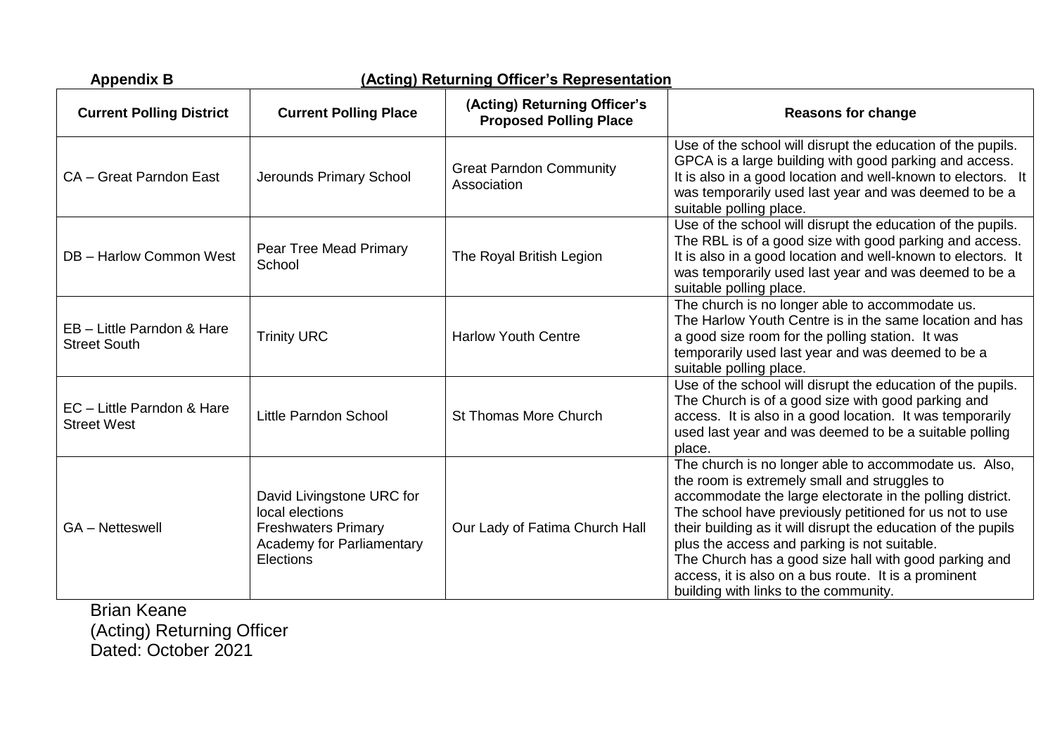| <b>Appendix B</b>                                 |                                                                                                                             | (Acting) Returning Officer's Representation                   |                                                                                                                                                                                                                                                                                                                                                                                                                                                                                                          |
|---------------------------------------------------|-----------------------------------------------------------------------------------------------------------------------------|---------------------------------------------------------------|----------------------------------------------------------------------------------------------------------------------------------------------------------------------------------------------------------------------------------------------------------------------------------------------------------------------------------------------------------------------------------------------------------------------------------------------------------------------------------------------------------|
| <b>Current Polling District</b>                   | <b>Current Polling Place</b>                                                                                                | (Acting) Returning Officer's<br><b>Proposed Polling Place</b> | <b>Reasons for change</b>                                                                                                                                                                                                                                                                                                                                                                                                                                                                                |
| CA - Great Parndon East                           | Jerounds Primary School                                                                                                     | <b>Great Parndon Community</b><br>Association                 | Use of the school will disrupt the education of the pupils.<br>GPCA is a large building with good parking and access.<br>It is also in a good location and well-known to electors. It<br>was temporarily used last year and was deemed to be a<br>suitable polling place.                                                                                                                                                                                                                                |
| DB - Harlow Common West                           | Pear Tree Mead Primary<br>School                                                                                            | The Royal British Legion                                      | Use of the school will disrupt the education of the pupils.<br>The RBL is of a good size with good parking and access.<br>It is also in a good location and well-known to electors. It<br>was temporarily used last year and was deemed to be a<br>suitable polling place.                                                                                                                                                                                                                               |
| EB - Little Parndon & Hare<br><b>Street South</b> | <b>Trinity URC</b>                                                                                                          | <b>Harlow Youth Centre</b>                                    | The church is no longer able to accommodate us.<br>The Harlow Youth Centre is in the same location and has<br>a good size room for the polling station. It was<br>temporarily used last year and was deemed to be a<br>suitable polling place.                                                                                                                                                                                                                                                           |
| EC - Little Parndon & Hare<br><b>Street West</b>  | Little Parndon School                                                                                                       | <b>St Thomas More Church</b>                                  | Use of the school will disrupt the education of the pupils.<br>The Church is of a good size with good parking and<br>access. It is also in a good location. It was temporarily<br>used last year and was deemed to be a suitable polling<br>place.                                                                                                                                                                                                                                                       |
| <b>GA-Netteswell</b>                              | David Livingstone URC for<br>local elections<br><b>Freshwaters Primary</b><br><b>Academy for Parliamentary</b><br>Elections | Our Lady of Fatima Church Hall                                | The church is no longer able to accommodate us. Also,<br>the room is extremely small and struggles to<br>accommodate the large electorate in the polling district.<br>The school have previously petitioned for us not to use<br>their building as it will disrupt the education of the pupils<br>plus the access and parking is not suitable.<br>The Church has a good size hall with good parking and<br>access, it is also on a bus route. It is a prominent<br>building with links to the community. |

Brian Keane (Acting) Returning Officer Dated: October 2021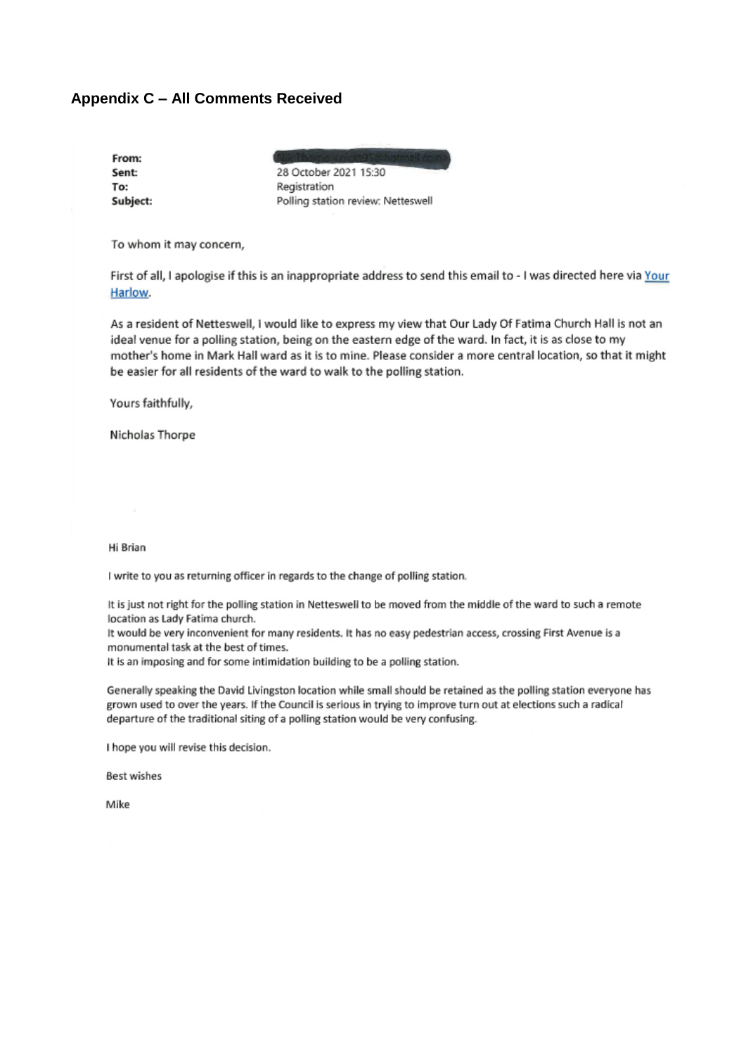# **Appendix C - All Comments Received**

| From:    |
|----------|
| Sent:    |
| To:      |
| Subject: |

28 October 2021 15:30 Registration Polling station review: Netteswell

To whom it may concern,

First of all, I apologise if this is an inappropriate address to send this email to - I was directed here via Your Harlow.

As a resident of Netteswell, I would like to express my view that Our Lady Of Fatima Church Hall is not an ideal venue for a polling station, being on the eastern edge of the ward. In fact, it is as close to my mother's home in Mark Hall ward as it is to mine. Please consider a more central location, so that it might be easier for all residents of the ward to walk to the polling station.

Yours faithfully,

Nicholas Thorpe

Hi Brian

I write to you as returning officer in regards to the change of polling station.

It is just not right for the polling station in Netteswell to be moved from the middle of the ward to such a remote location as Lady Fatima church.

It would be very inconvenient for many residents. It has no easy pedestrian access, crossing First Avenue is a monumental task at the best of times.

It is an imposing and for some intimidation building to be a polling station.

Generally speaking the David Livingston location while small should be retained as the polling station everyone has grown used to over the years. If the Council is serious in trying to improve turn out at elections such a radical departure of the traditional siting of a polling station would be very confusing.

I hope you will revise this decision.

**Best wishes** 

Mike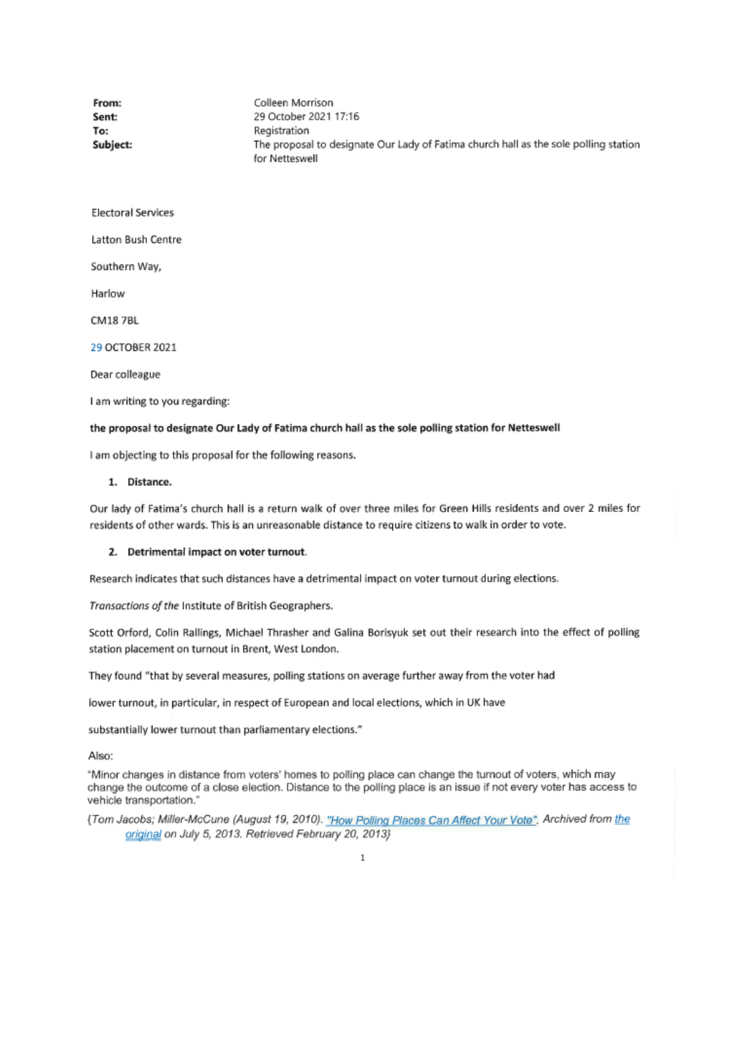| The proposal to designate Our Lady of Fatima church hall as the sole polling station |
|--------------------------------------------------------------------------------------|
|                                                                                      |
|                                                                                      |
|                                                                                      |
|                                                                                      |
|                                                                                      |
|                                                                                      |
|                                                                                      |
|                                                                                      |
|                                                                                      |

## the proposal to designate Our Lady of Fatima church hall as the sole polling station for Netteswell

I am objecting to this proposal for the following reasons.

## 1. Distance.

Our lady of Fatima's church hall is a return walk of over three miles for Green Hills residents and over 2 miles for residents of other wards. This is an unreasonable distance to require citizens to walk in order to vote.

#### 2. Detrimental impact on voter turnout.

Research indicates that such distances have a detrimental impact on voter turnout during elections.

Transactions of the Institute of British Geographers.

Scott Orford, Colin Rallings, Michael Thrasher and Galina Borisyuk set out their research into the effect of polling station placement on turnout in Brent, West London.

They found "that by several measures, polling stations on average further away from the voter had

lower turnout, in particular, in respect of European and local elections, which in UK have

substantially lower turnout than parliamentary elections."

Also:

"Minor changes in distance from voters' homes to polling place can change the turnout of voters, which may change the outcome of a close election. Distance to the polling place is an issue if not every voter has access to vehicle transportation."

{Tom Jacobs; Miller-McCune (August 19, 2010). "How Polling Places Can Affect Your Vote". Archived from the original on July 5, 2013. Retrieved February 20, 2013}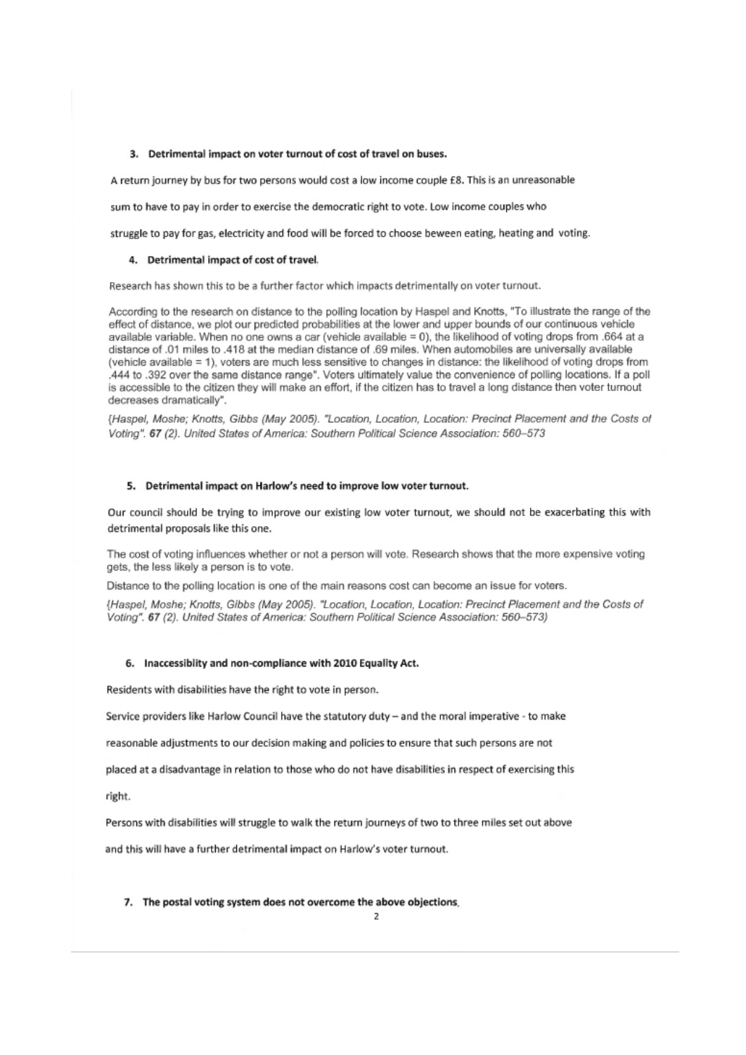## 3. Detrimental impact on voter turnout of cost of travel on buses.

A return journey by bus for two persons would cost a low income couple £8. This is an unreasonable

sum to have to pay in order to exercise the democratic right to vote. Low income couples who

struggle to pay for gas, electricity and food will be forced to choose beween eating, heating and voting.

#### 4. Detrimental impact of cost of travel.

Research has shown this to be a further factor which impacts detrimentally on voter turnout.

According to the research on distance to the polling location by Haspel and Knotts, "To illustrate the range of the effect of distance, we plot our predicted probabilities at the lower and upper bounds of our continuous vehicle available variable. When no one owns a car (vehicle available = 0), the likelihood of voting drops from .664 at a distance of .01 miles to .418 at the median distance of .69 miles. When automobiles are universally available (vehicle available = 1), voters are much less sensitive to changes in distance: the likelihood of voting drops from .444 to .392 over the same distance range". Voters ultimately value the convenience of polling locations. If a poll is accessible to the citizen they will make an effort, if the citizen has to travel a long distance then voter turnout decreases dramatically".

{Haspel, Moshe; Knotts, Gibbs (May 2005). "Location, Location, Location: Precinct Placement and the Costs of Votina", 67 (2). United States of America: Southern Political Science Association: 560-573

## 5. Detrimental impact on Harlow's need to improve low voter turnout.

Our council should be trying to improve our existing low voter turnout, we should not be exacerbating this with detrimental proposals like this one.

The cost of voting influences whether or not a person will vote. Research shows that the more expensive voting gets, the less likely a person is to vote.

Distance to the polling location is one of the main reasons cost can become an issue for voters.

{Haspel, Moshe; Knotts, Gibbs (May 2005). "Location, Location, Location: Precinct Placement and the Costs of Voting". 67 (2). United States of America: Southern Political Science Association: 560-573)

## 6. Inaccessiblity and non-compliance with 2010 Equality Act.

Residents with disabilities have the right to vote in person.

Service providers like Harlow Council have the statutory duty - and the moral imperative - to make

reasonable adjustments to our decision making and policies to ensure that such persons are not

placed at a disadvantage in relation to those who do not have disabilities in respect of exercising this

right.

Persons with disabilities will struggle to walk the return journeys of two to three miles set out above

and this will have a further detrimental impact on Harlow's voter turnout.

#### 7. The postal voting system does not overcome the above objections.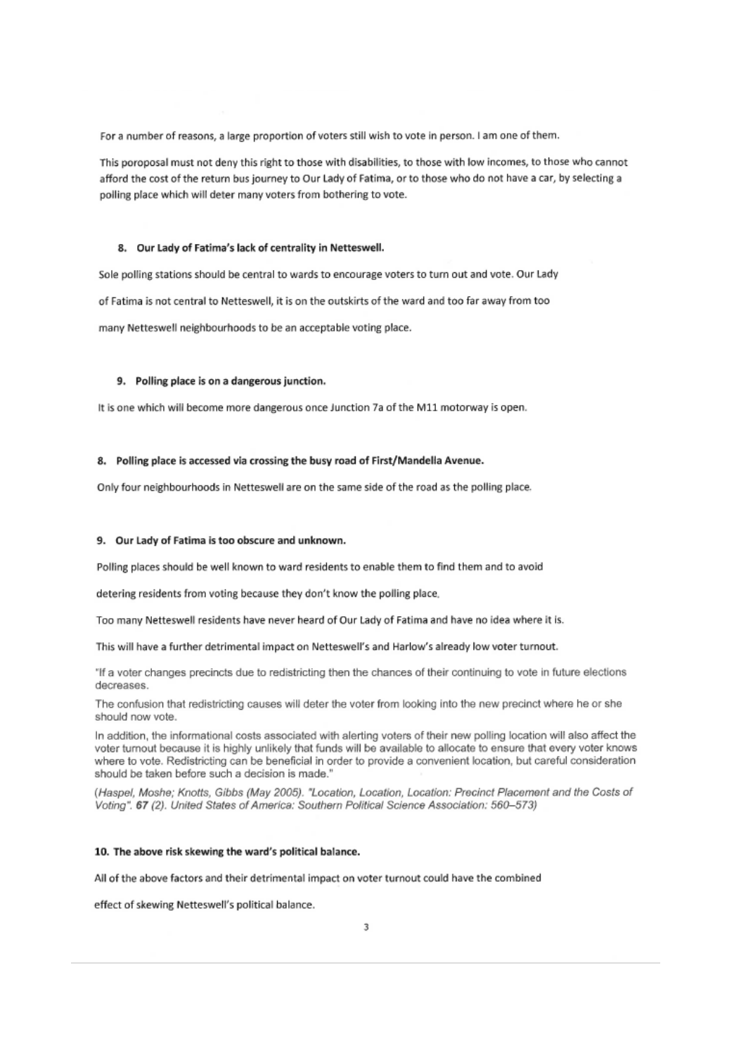For a number of reasons, a large proportion of voters still wish to vote in person. I am one of them.

This poroposal must not deny this right to those with disabilities, to those with low incomes, to those who cannot afford the cost of the return bus journey to Our Lady of Fatima, or to those who do not have a car, by selecting a polling place which will deter many voters from bothering to vote.

#### 8. Our Lady of Fatima's lack of centrality in Netteswell.

Sole polling stations should be central to wards to encourage voters to turn out and vote. Our Lady of Fatima is not central to Netteswell, it is on the outskirts of the ward and too far away from too many Netteswell neighbourhoods to be an acceptable voting place.

## 9. Polling place is on a dangerous junction.

It is one which will become more dangerous once Junction 7a of the M11 motorway is open.

## 8. Polling place is accessed via crossing the busy road of First/Mandella Avenue.

Only four neighbourhoods in Netteswell are on the same side of the road as the polling place.

## 9. Our Lady of Fatima is too obscure and unknown.

Polling places should be well known to ward residents to enable them to find them and to avoid

detering residents from voting because they don't know the polling place,

Too many Netteswell residents have never heard of Our Lady of Fatima and have no idea where it is.

This will have a further detrimental impact on Netteswell's and Harlow's already low voter turnout.

"If a voter changes precincts due to redistricting then the chances of their continuing to vote in future elections decreases.

The confusion that redistricting causes will deter the voter from looking into the new precinct where he or she should now vote.

In addition, the informational costs associated with alerting voters of their new polling location will also affect the voter turnout because it is highly unlikely that funds will be available to allocate to ensure that every voter knows where to vote. Redistricting can be beneficial in order to provide a convenient location, but careful consideration should be taken before such a decision is made.'

(Haspel, Moshe; Knotts, Gibbs (May 2005). "Location, Location, Location: Precinct Placement and the Costs of Voting", 67 (2), United States of America: Southern Political Science Association: 560-573)

## 10. The above risk skewing the ward's political balance.

All of the above factors and their detrimental impact on voter turnout could have the combined

effect of skewing Netteswell's political balance.